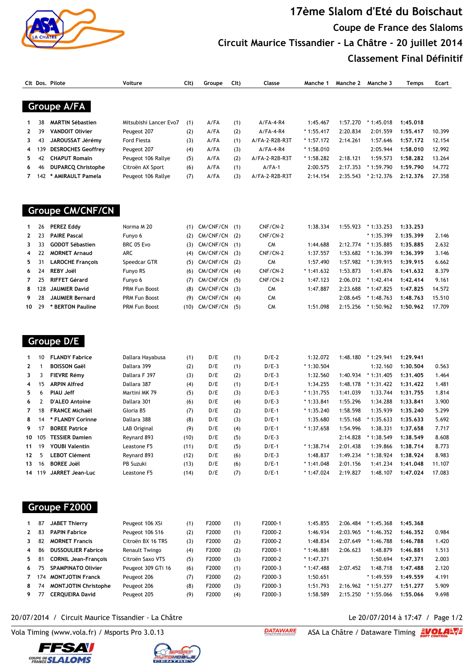

## **17ème Slalom d'Eté du Boischaut Coupe de France des Slaloms Circuit Maurice Tissandier - La Châtre - 20 juillet 2014 Classement Final Définitif**

|    |     | Clt Dos. Pilote           | Voiture                | Clt) | Groupe  | Cl <sub>t</sub> | Classe         | Manche 1    | Manche 2 | Manche 3    | Temps    | Ecart  |
|----|-----|---------------------------|------------------------|------|---------|-----------------|----------------|-------------|----------|-------------|----------|--------|
|    |     |                           |                        |      |         |                 |                |             |          |             |          |        |
|    |     | Groupe A/FA               |                        |      |         |                 |                |             |          |             |          |        |
|    | 38  | <b>MARTIN Sébastien</b>   | Mitsubishi Lancer Evo7 | (1)  | A/FA    | (1)             | $A/FA-4-R4$    | 1:45.467    | 1:57.270 | $*1:45.018$ | 1:45.018 |        |
|    | 39  | <b>VANDOIT Olivier</b>    | Peugeot 207            | (2)  | A/FA    | (2)             | $A/FA-4-R4$    | $*1:55.417$ | 2:20.834 | 2:01.559    | 1:55.417 | 10.399 |
| 3. | 43  | JAROUSSAT Jérémy          | Ford Fiesta            | (3)  | A/FA    | (1)             | A/FA-2-R2B-R3T | $*1:57.172$ | 2:14.261 | 1:57.646    | 1:57.172 | 12.154 |
| 4  | 39  | <b>DESROCHES Geoffrey</b> | Peugeot 207            | (4)  | A/FA    | (3)             | $A/FA-4-R4$    | $*1:58.010$ |          | 2:05.944    | 1:58.010 | 12.992 |
| 5. | 42  | <b>CHAPUT Romain</b>      | Peugeot 106 Rallye     | (5)  | A/FA    | (2)             | A/FA-2-R2B-R3T | $*1:58.282$ | 2:18.121 | 1:59.573    | 1:58.282 | 13.264 |
| 6. | 46  | <b>DUPARCQ Christophe</b> | Citroën AX Sport       | (6)  | A/FA    | (1)             | $A/FA-1$       | 2:00.575    | 2:17.353 | * 1:59.790  | 1:59.790 | 14.772 |
|    | 142 | * AMIRAULT Pamela         | Peugeot 106 Rallye     | (7)  | $A$ /FA | (3)             | A/FA-2-R2B-R3T | 2:14.154    | 2:35.543 | $*2:12.376$ | 2:12.376 | 27.358 |
|    |     |                           |                        |      |         |                 |                |             |          |             |          |        |
|    |     |                           |                        |      |         |                 |                |             |          |             |          |        |

## **Groupe CM/CNF/CN**

|     | 26        | <b>PEREZ Eddy</b>       | Norma M 20           | (1)  | CM/CNF/CN       | (1) | $CNF/CN-2$ | 1:38.334    | 1:55.923 | $*1:33.253$ | 1:33.253 |        |
|-----|-----------|-------------------------|----------------------|------|-----------------|-----|------------|-------------|----------|-------------|----------|--------|
|     | $2 \t 23$ | <b>PAIRE Pascal</b>     | Funyo 6              |      | $(2)$ CM/CNF/CN | (2) | CNF/CN-2   |             |          | $*1:35.399$ | 1:35.399 | 2.146  |
| 3.  | 33        | <b>GODOT Sébastien</b>  | BRC 05 Evo           |      | $(3)$ CM/CNF/CN | (1) | CM         | 1:44.688    | 2:12.774 | $*1:35.885$ | 1:35.885 | 2.632  |
| 4   |           | <b>MORNET Arnaud</b>    | ARC                  |      | $(4)$ CM/CNF/CN | (3) | CNF/CN-2   | 1:37.557    | 1:53.682 | $*1:36.399$ | 1:36.399 | 3.146  |
| 5.  | -31       | <b>LAROCHE Francois</b> | Speedcar GTR         | (5)  | CM/CNF/CN       | (2) | CM         | 1:57.490    | 1:57.982 | $*1:39.915$ | 1:39.915 | 6.662  |
|     | $6 \t24$  | <b>REBY Joël</b>        | Funyo RS             | (6)  | CM/CNF/CN       | (4) | $CNF/CN-2$ | $*1:41.632$ | 1:53.873 | 1:41.876    | 1:41.632 | 8.379  |
|     | 7 25      | <b>RIFFET Gérard</b>    | Funyo 6              |      | (7) CM/CNF/CN   | (5) | CNF/CN-2   | 1:47.123    | 2:06.012 | $*1:42.414$ | 1:42.414 | 9.161  |
|     | 8 128     | <b>JAUMIER David</b>    | <b>PRM Fun Boost</b> |      | $(8)$ CM/CNF/CN | (3) | CM         | 1:47.887    | 2:23.688 | $*1:47.825$ | 1:47.825 | 14.572 |
| 9   | - 28      | <b>JAUMIER Bernard</b>  | <b>PRM Fun Boost</b> | (9)  | CM/CNF/CN       | (4) | <b>CM</b>  |             | 2:08.645 | $*1:48.763$ | 1:48.763 | 15.510 |
| 10. | - 79      | * BERTON Pauline        | <b>PRM Fun Boost</b> | (10) | CM/CNF/CN       | (5) | CM         | 1:51.098    | 2:15.256 | $*1:50.962$ | 1:50.962 | 17.709 |
|     |           |                         |                      |      |                 |     |            |             |          |             |          |        |

| $\mathbf 1$    | 10     | <b>FLANDY Fabrice</b>  | Dallara Hayabusa | (1)  | D/E | (1) | $D/E-2$ | 1:32.072    | 1:48.180 | $*1:29.941$ | 1:29.941 |        |
|----------------|--------|------------------------|------------------|------|-----|-----|---------|-------------|----------|-------------|----------|--------|
| $\mathbf{2}$   |        | <b>BOISSON Gaël</b>    | Dallara 399      | (2)  | D/E | (1) | $D/E-3$ | $*1:30.504$ |          | 1:32.160    | 1:30.504 | 0.563  |
| $\mathbf{3}$   |        | <b>FIEVRE Rémy</b>     | Dallara F 397    | (3)  | D/E | (2) | $D/E-3$ | 1:32.560    | 1:40.934 | $*1:31.405$ | 1:31.405 | 1.464  |
| $\overline{4}$ | -15    | <b>ARPIN Alfred</b>    | Dallara 387      | (4)  | D/E | (1) | $D/E-1$ | 1:34.255    | 1:48.178 | $*1:31.422$ | 1:31.422 | 1.481  |
| 5.             | -6     | <b>PIAU Jeff</b>       | Martini MK 79    | (5)  | D/E | (3) | $D/E-3$ | $*1:31.755$ | 1:41.039 | 1:33.744    | 1:31.755 | 1.814  |
| 6              |        | <b>D'ALEO Antoine</b>  | Dallara 301      | (6)  | D/E | (4) | $D/E-3$ | $*1:33.841$ | 1:55.296 | 1:34.288    | 1:33.841 | 3.900  |
| $\overline{7}$ | 18     | <b>FRANCE Michaël</b>  | Gloria B5        | (7)  | D/E | (2) | $D/E-1$ | $*1:35.240$ | 1:58.598 | 1:35.939    | 1:35.240 | 5.299  |
| 8              | 14     | * FLANDY Corinne       | Dallara 388      | (8)  | D/E | (3) | $D/E-1$ | 1:35.680    | 1:55.168 | $*1:35.633$ | 1:35.633 | 5.692  |
|                | 9 17   | <b>BOREE Patrice</b>   | LAB Original     | (9)  | D/E | (4) | $D/E-1$ | $*1:37.658$ | 1:54.996 | 1:38.331    | 1:37.658 | 7.717  |
|                | 10 105 | <b>TESSIER Damien</b>  | Reynard 893      | (10) | D/E | (5) | $D/E-3$ |             | 2:14.828 | $*1:38.549$ | 1:38.549 | 8.608  |
| 11             | 19     | <b>YOUBI Valentin</b>  | Leastone F5      | (11) | D/E | (5) | $D/E-1$ | $*1:38.714$ | 2:01.438 | 1:39.866    | 1:38.714 | 8.773  |
| 12             | 5      | <b>LEBOT Clément</b>   | Reynard 893      | (12) | D/E | (6) | $D/E-3$ | 1:48.837    | 1:49.234 | $*1:38.924$ | 1:38.924 | 8.983  |
| 13             | 16     | <b>BOREE Joël</b>      | PB Suzuki        | (13) | D/E | (6) | $D/E-1$ | $*1:41.048$ | 2:01.156 | 1:41.234    | 1:41.048 | 11.107 |
|                | 14 119 | <b>JARRET Jean-Luc</b> | Leastone F5      | (14) | D/E | (7) | $D/E-1$ | $*1:47.024$ | 2:19.827 | 1:48.107    | 1:47.024 | 17.083 |

|  | aroupe F |  | -2000 |  |  |
|--|----------|--|-------|--|--|
|--|----------|--|-------|--|--|

 **Groupe D/E** 

|              | 87    | <b>JABET Thierry</b>        | Peugeot 106 XSi       | (1) | F2000 | (1) | F2000-1 | 1:45.855    | 2:06.484 | $*1:45.368$     | 1:45.368 |       |
|--------------|-------|-----------------------------|-----------------------|-----|-------|-----|---------|-------------|----------|-----------------|----------|-------|
| $\mathbf{2}$ | -83   | <b>PAPIN Fabrice</b>        | Peugeot 106 S16       | (2) | F2000 | (1) | F2000-2 | 1:46.934    | 2:03.965 | $*1:46.352$     | 1:46.352 | 0.984 |
| $\mathbf{3}$ | -82   | <b>MORNET Francis</b>       | Citroën BX 16 TRS     | (3) | F2000 | (2) | F2000-2 | 1:48.834    | 2:07.649 | $*1:46.788$     | 1:46.788 | 1.420 |
| 4            | -86   | <b>DUSSOULIER Fabrice</b>   | <b>Renault Twingo</b> | (4) | F2000 | (2) | F2000-1 | $*1:46.881$ | 2:06.623 | 1:48.879        | 1:46.881 | 1.513 |
|              | 5 81  | <b>CORNIL Jean-Francois</b> | Citroën Saxo VTS      | (5) | F2000 | (3) | F2000-2 | $*1:47.371$ |          | 1:50.694        | 1:47.371 | 2.003 |
| 6            | 75    | <b>SPAMPINATO Olivier</b>   | Peugeot 309 GTi 16    | (6) | F2000 | (1) | F2000-3 | $*1:47.488$ | 2:07.452 | 1:48.718        | 1:47.488 | 2.120 |
|              | 7 174 | <b>MONTJOTIN Franck</b>     | Peugeot 206           | (7) | F2000 | (2) | F2000-3 | 1:50.651    |          | $*1:49.559$     | 1:49.559 | 4.191 |
| 8            | 74    | <b>MONTJOTIN Christophe</b> | Peugeot 206           | (8) | F2000 | (3) | F2000-3 | 1:51.793    | 2:16.962 | $*1:51$<br>.277 | 1:51.277 | 5.909 |
| 9.           |       | <b>CEROUEIRA David</b>      | Peugeot 205           | (9) | F2000 | (4) | F2000-3 | 1:58.589    | 2:15.250 | $*1:55.066$     | 1:55.066 | 9.698 |
|              |       |                             |                       |     |       |     |         |             |          |                 |          |       |

## 20/07/2014 / Circuit Maurice Tissandier - La Châtre Le 20/07/2014 à 17:47 / Page 1/2

Vola Timing (www.vola.fr) / Msports Pro 3.0.13 ASA La Châtre / Dataware Timing ASA La Châtre / Dataware Timing